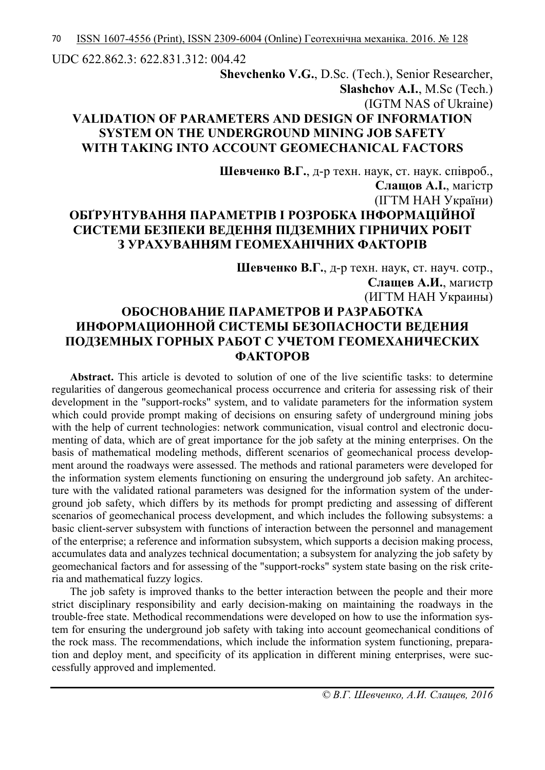UDC 622.862.3: 622.831.312: 004.42

# **Shevchenko V.G.**, D.Sc. (Tech.), Senior Researcher, **Slashchov A.I.**, M.Sc (Tech.) (IGTM NAS of Ukraine) **VALIDATION OF PARAMETERS AND DESIGN OF INFORMATION SYSTEM ON THE UNDERGROUND MINING JOB SAFETY WITH TAKING INTO ACCOUNT GEOMECHANICAL FACTORS**

**Шевченко В.Г.**, д-р техн. наук, ст. наук. співроб., **Слащов А.І.**, магістр (ІГТМ НАН України) **ОБҐРУНТУВАННЯ ПАРАМЕТРІВ І РОЗРОБКА ІНФОРМАЦІЙНОЇ СИСТЕМИ БЕЗПЕКИ ВЕДЕННЯ ПІДЗЕМНИХ ГІРНИЧИХ РОБІТ З УРАХУВАННЯМ ГЕОМЕХАНІЧНИХ ФАКТОРІВ**

**Шевченко В.Г.**, д-р техн. наук, ст. науч. сотр., **Слащев А.И.**, магистр (ИГТМ НАН Украины) **ОБОСНОВАНИЕ ПАРАМЕТРОВ И РАЗРАБОТКА ИНФОРМАЦИОННОЙ СИСТЕМЫ БЕЗОПАСНОСТИ ВЕДЕНИЯ ПОДЗЕМНЫХ ГОРНЫХ РАБОТ С УЧЕТОМ ГЕОМЕХАНИЧЕСКИХ ФАКТОРОВ**

**Abstract.** This article is devoted to solution of one of the live scientific tasks: to determine regularities of dangerous geomechanical process occurrence and criteria for assessing risk of their development in the "support-rocks" system, and to validate parameters for the information system which could provide prompt making of decisions on ensuring safety of underground mining jobs with the help of current technologies: network communication, visual control and electronic documenting of data, which are of great importance for the job safety at the mining enterprises. On the basis of mathematical modeling methods, different scenarios of geomechanical process development around the roadways were assessed. The methods and rational parameters were developed for the information system elements functioning on ensuring the underground job safety. An architecture with the validated rational parameters was designed for the information system of the underground job safety, which differs by its methods for prompt predicting and assessing of different scenarios of geomechanical process development, and which includes the following subsystems: a basic client-server subsystem with functions of interaction between the personnel and management of the enterprise; a reference and information subsystem, which supports a decision making process, accumulates data and analyzes technical documentation; a subsystem for analyzing the job safety by geomechanical factors and for assessing of the "support-rocks" system state basing on the risk criteria and mathematical fuzzy logics.

The job safety is improved thanks to the better interaction between the people and their more strict disciplinary responsibility and early decision-making on maintaining the roadways in the trouble-free state. Methodical recommendations were developed on how to use the information system for ensuring the underground job safety with taking into account geomechanical conditions of the rock mass. The recommendations, which include the information system functioning, preparation and deploy ment, and specificity of its application in different mining enterprises, were successfully approved and implemented.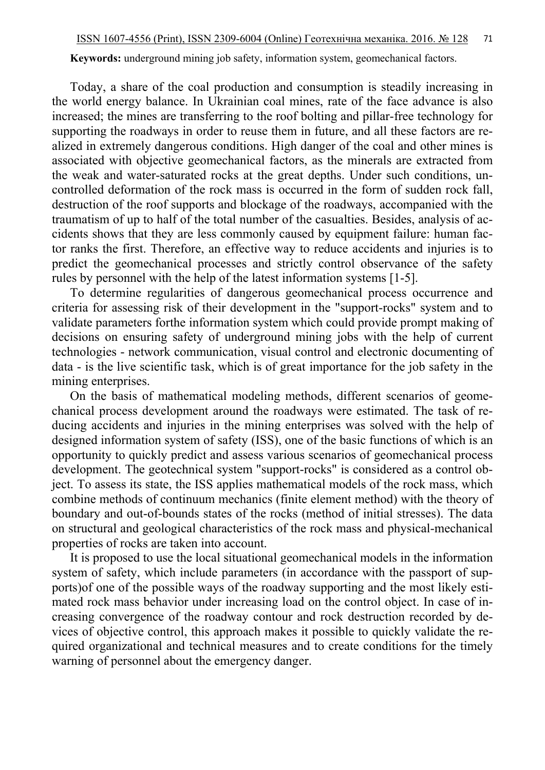**Keywords:** underground mining job safety, information system, geomechanical factors.

Today, a share of the coal production and consumption is steadily increasing in the world energy balance. In Ukrainian coal mines, rate of the face advance is also increased; the mines are transferring to the roof bolting and pillar-free technology for supporting the roadways in order to reuse them in future, and all these factors are realized in extremely dangerous conditions. High danger of the coal and other mines is associated with objective geomechanical factors, as the minerals are extracted from the weak and water-saturated rocks at the great depths. Under such conditions, uncontrolled deformation of the rock mass is occurred in the form of sudden rock fall, destruction of the roof supports and blockage of the roadways, accompanied with the traumatism of up to half of the total number of the casualties. Besides, analysis of accidents shows that they are less commonly caused by equipment failure: human factor ranks the first. Therefore, an effective way to reduce accidents and injuries is to predict the geomechanical processes and strictly control observance of the safety rules by personnel with the help of the latest information systems [1-5].

To determine regularities of dangerous geomechanical process occurrence and criteria for assessing risk of their development in the "support-rocks" system and to validate parameters forthe information system which could provide prompt making of decisions on ensuring safety of underground mining jobs with the help of current technologies - network communication, visual control and electronic documenting of data - is the live scientific task, which is of great importance for the job safety in the mining enterprises.

On the basis of mathematical modeling methods, different scenarios of geomechanical process development around the roadways were estimated. The task of reducing accidents and injuries in the mining enterprises was solved with the help of designed information system of safety (ISS), one of the basic functions of which is an opportunity to quickly predict and assess various scenarios of geomechanical process development. The geotechnical system "support-rocks" is considered as a control object. To assess its state, the ISS applies mathematical models of the rock mass, which combine methods of continuum mechanics (finite element method) with the theory of boundary and out-of-bounds states of the rocks (method of initial stresses). The data on structural and geological characteristics of the rock mass and physical-mechanical properties of rocks are taken into account.

It is proposed to use the local situational geomechanical models in the information system of safety, which include parameters (in accordance with the passport of supports)of one of the possible ways of the roadway supporting and the most likely estimated rock mass behavior under increasing load on the control object. In case of increasing convergence of the roadway contour and rock destruction recorded by devices of objective control, this approach makes it possible to quickly validate the required organizational and technical measures and to create conditions for the timely warning of personnel about the emergency danger.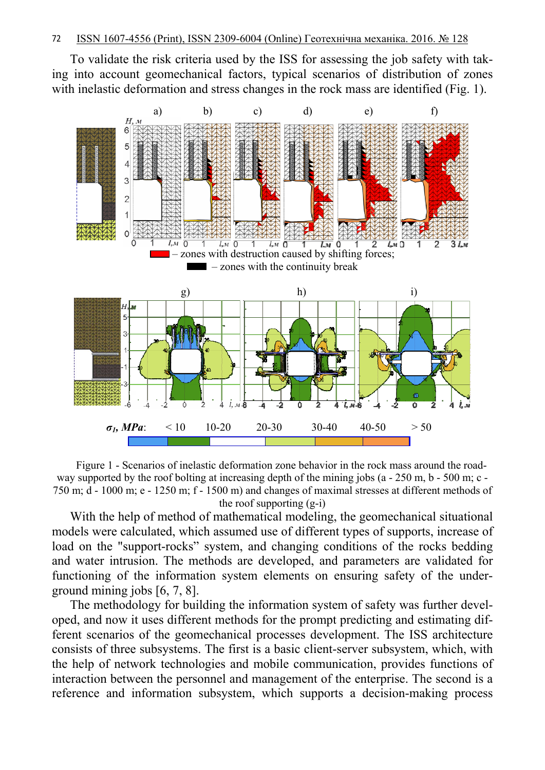To validate the risk criteria used by the ISS for assessing the job safety with taking into account geomechanical factors, typical scenarios of distribution of zones with inelastic deformation and stress changes in the rock mass are identified (Fig. 1).



Figure 1 - Scenarios of inelastic deformation zone behavior in the rock mass around the roadway supported by the roof bolting at increasing depth of the mining jobs (a - 250 m, b - 500 m; c -750 m; d - 1000 m; e - 1250 m; f - 1500 m) and changes of maximal stresses at different methods of the roof supporting (g-i)

With the help of method of mathematical modeling, the geomechanical situational models were calculated, which assumed use of different types of supports, increase of load on the "support-rocks" system, and changing conditions of the rocks bedding and water intrusion. The methods are developed, and parameters are validated for functioning of the information system elements on ensuring safety of the underground mining jobs [6, 7, 8].

The methodology for building the information system of safety was further developed, and now it uses different methods for the prompt predicting and estimating different scenarios of the geomechanical processes development. The ISS architecture consists of three subsystems. The first is a basic client-server subsystem, which, with the help of network technologies and mobile communication, provides functions of interaction between the personnel and management of the enterprise. The second is a reference and information subsystem, which supports a decision-making process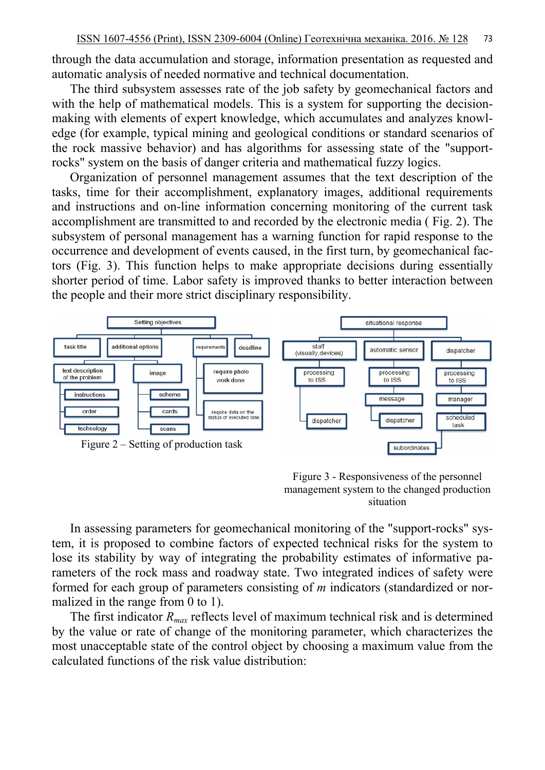through the data accumulation and storage, information presentation as requested and automatic analysis of needed normative and technical documentation.

The third subsystem assesses rate of the job safety by geomechanical factors and with the help of mathematical models. This is a system for supporting the decisionmaking with elements of expert knowledge, which accumulates and analyzes knowledge (for example, typical mining and geological conditions or standard scenarios of the rock massive behavior) and has algorithms for assessing state of the "supportrocks" system on the basis of danger criteria and mathematical fuzzy logics.

Organization of personnel management assumes that the text description of the tasks, time for their accomplishment, explanatory images, additional requirements and instructions and on-line information concerning monitoring of the current task accomplishment are transmitted to and recorded by the electronic media ( Fig. 2). The subsystem of personal management has a warning function for rapid response to the occurrence and development of events caused, in the first turn, by geomechanical factors (Fig. 3). This function helps to make appropriate decisions during essentially shorter period of time. Labor safety is improved thanks to better interaction between the people and their more strict disciplinary responsibility.





In assessing parameters for geomechanical monitoring of the "support-rocks" system, it is proposed to combine factors of expected technical risks for the system to lose its stability by way of integrating the probability estimates of informative parameters of the rock mass and roadway state. Two integrated indices of safety were formed for each group of parameters consisting of *m* indicators (standardized or normalized in the range from 0 to 1).

The first indicator *Rmax* reflects level of maximum technical risk and is determined by the value or rate of change of the monitoring parameter, which characterizes the most unacceptable state of the control object by choosing a maximum value from the calculated functions of the risk value distribution: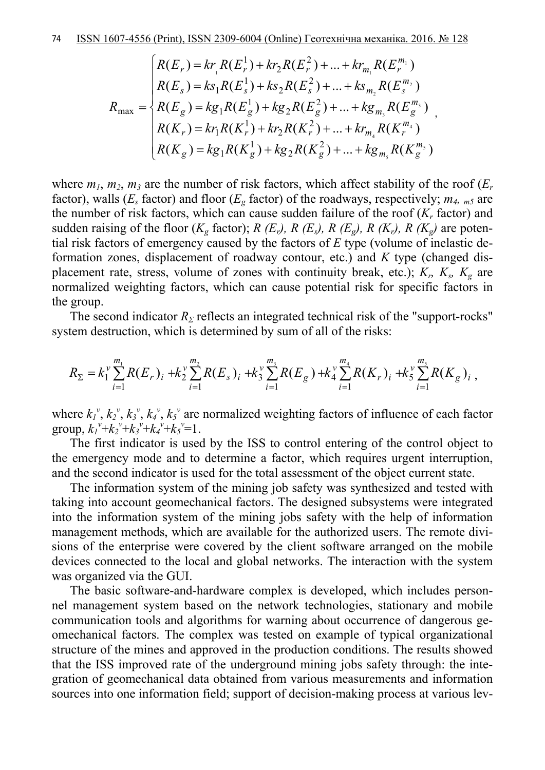$$
R_{\max} = \begin{cases} R(E_r) = kr_1 R(E_r^1) + kr_2 R(E_r^2) + ... + kr_{m_1} R(E_r^{m_1}) \\ R(E_s) = ks_1 R(E_s^1) + ks_2 R(E_s^2) + ... + ks_{m_2} R(E_s^{m_2}) \\ R(E_g) = kg_1 R(E_g^1) + kg_2 R(E_g^2) + ... + kg_{m_3} R(E_g^{m_3}) \\ R(K_r) = kr_1 R(K_r^1) + kr_2 R(K_r^2) + ... + kr_{m_4} R(K_r^{m_4}) \\ R(K_g) = kg_1 R(K_g^1) + kg_2 R(K_g^2) + ... + kg_{m_5} R(K_g^{m_5}) \end{cases}
$$

where  $m_1$ ,  $m_2$ ,  $m_3$  are the number of risk factors, which affect stability of the roof  $(E_r)$ factor), walls ( $E_s$  factor) and floor ( $E_g$  factor) of the roadways, respectively;  $m_4$ ,  $_{m5}$  are the number of risk factors, which can cause sudden failure of the roof  $(K_r$  factor) and sudden raising of the floor  $(K_g$  factor); *R (E<sub>r</sub>), R (E<sub>s</sub>), R (E<sub>g</sub>), <i>R (K<sub>r</sub>)*, *R (K<sub>g</sub>)* are potential risk factors of emergency caused by the factors of *E* type (volume of inelastic deformation zones, displacement of roadway contour, etc.) and *K* type (changed displacement rate, stress, volume of zones with continuity break, etc.);  $K_r$ ,  $K_s$ ,  $K_g$  are normalized weighting factors, which can cause potential risk for specific factors in the group.

The second indicator  $R_\Sigma$  reflects an integrated technical risk of the "support-rocks" system destruction, which is determined by sum of all of the risks:

$$
R_{\Sigma} = k_1^{\nu} \sum_{i=1}^{m_1} R(E_r)_i + k_2^{\nu} \sum_{i=1}^{m_2} R(E_s)_i + k_3^{\nu} \sum_{i=1}^{m_3} R(E_g) + k_4^{\nu} \sum_{i=1}^{m_4} R(K_r)_i + k_5^{\nu} \sum_{i=1}^{m_5} R(K_g)_i,
$$

where  $k_1^{\nu}$ ,  $k_2^{\nu}$ ,  $k_3^{\nu}$ ,  $k_4^{\nu}$ ,  $k_5^{\nu}$  are normalized weighting factors of influence of each factor group,  $k_1^{\nu}+k_2^{\nu}+k_3^{\nu}+k_4^{\nu}+k_5^{\nu}=1$ .

The first indicator is used by the ISS to control entering of the control object to the emergency mode and to determine a factor, which requires urgent interruption, and the second indicator is used for the total assessment of the object current state.

The information system of the mining job safety was synthesized and tested with taking into account geomechanical factors. The designed subsystems were integrated into the information system of the mining jobs safety with the help of information management methods, which are available for the authorized users. The remote divisions of the enterprise were covered by the client software arranged on the mobile devices connected to the local and global networks. The interaction with the system was organized via the GUI.

The basic software-and-hardware complex is developed, which includes personnel management system based on the network technologies, stationary and mobile communication tools and algorithms for warning about occurrence of dangerous geomechanical factors. The complex was tested on example of typical organizational structure of the mines and approved in the production conditions. The results showed that the ISS improved rate of the underground mining jobs safety through: the integration of geomechanical data obtained from various measurements and information sources into one information field; support of decision-making process at various lev-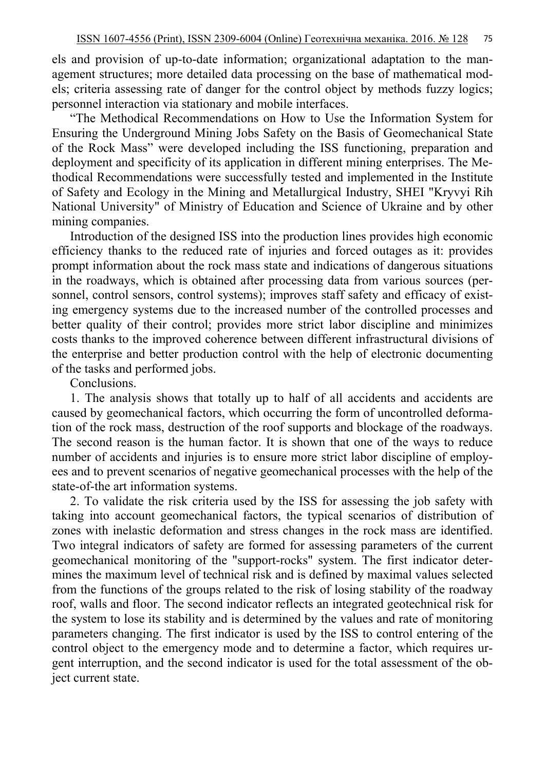els and provision of up-to-date information; organizational adaptation to the management structures; more detailed data processing on the base of mathematical models; criteria assessing rate of danger for the control object by methods fuzzy logics; personnel interaction via stationary and mobile interfaces.

"The Methodical Recommendations on How to Use the Information System for Ensuring the Underground Mining Jobs Safety on the Basis of Geomechanical State of the Rock Mass" were developed including the ISS functioning, preparation and deployment and specificity of its application in different mining enterprises. The Methodical Recommendations were successfully tested and implemented in the Institute of Safety and Ecology in the Mining and Metallurgical Industry, SHEI "Kryvyi Rih National University" of Ministry of Education and Science of Ukraine and by other mining companies.

Introduction of the designed ISS into the production lines provides high economic efficiency thanks to the reduced rate of injuries and forced outages as it: provides prompt information about the rock mass state and indications of dangerous situations in the roadways, which is obtained after processing data from various sources (personnel, control sensors, control systems); improves staff safety and efficacy of existing emergency systems due to the increased number of the controlled processes and better quality of their control; provides more strict labor discipline and minimizes costs thanks to the improved coherence between different infrastructural divisions of the enterprise and better production control with the help of electronic documenting of the tasks and performed jobs.

Conclusions.

1. The analysis shows that totally up to half of all accidents and accidents are caused by geomechanical factors, which occurring the form of uncontrolled deformation of the rock mass, destruction of the roof supports and blockage of the roadways. The second reason is the human factor. It is shown that one of the ways to reduce number of accidents and injuries is to ensure more strict labor discipline of employees and to prevent scenarios of negative geomechanical processes with the help of the state-of-the art information systems.

2. To validate the risk criteria used by the ISS for assessing the job safety with taking into account geomechanical factors, the typical scenarios of distribution of zones with inelastic deformation and stress changes in the rock mass are identified. Two integral indicators of safety are formed for assessing parameters of the current geomechanical monitoring of the "support-rocks" system. The first indicator determines the maximum level of technical risk and is defined by maximal values selected from the functions of the groups related to the risk of losing stability of the roadway roof, walls and floor. The second indicator reflects an integrated geotechnical risk for the system to lose its stability and is determined by the values and rate of monitoring parameters changing. The first indicator is used by the ISS to control entering of the control object to the emergency mode and to determine a factor, which requires urgent interruption, and the second indicator is used for the total assessment of the object current state.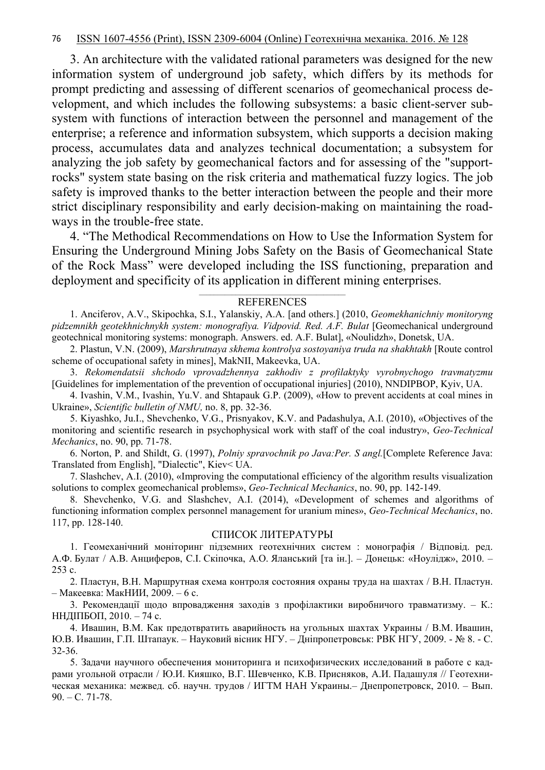3. An architecture with the validated rational parameters was designed for the new information system of underground job safety, which differs by its methods for prompt predicting and assessing of different scenarios of geomechanical process development, and which includes the following subsystems: a basic client-server subsystem with functions of interaction between the personnel and management of the enterprise; a reference and information subsystem, which supports a decision making process, accumulates data and analyzes technical documentation; a subsystem for analyzing the job safety by geomechanical factors and for assessing of the "supportrocks" system state basing on the risk criteria and mathematical fuzzy logics. The job safety is improved thanks to the better interaction between the people and their more strict disciplinary responsibility and early decision-making on maintaining the roadways in the trouble-free state.

4. "The Methodical Recommendations on How to Use the Information System for Ensuring the Underground Mining Jobs Safety on the Basis of Geomechanical State of the Rock Mass" were developed including the ISS functioning, preparation and deployment and specificity of its application in different mining enterprises.

# **REFERENCES**

1. Anciferov, A.V., Skipochka, S.I., Yalanskiy, A.A. [and others.] (2010, *Geomekhanichniy monitoryng pidzemnikh geotekhnichnykh system: monografiya. Vidpovid. Red. A.F. Bulat* [Geomechanical underground geotechnical monitoring systems: monograph. Answers. ed. A.F. Bulat], «Noulidzh», Donetsk, UA.

2. Plastun, V.N. (2009), *Marshrutnaya skhema kontrolya sostoyaniya truda na shakhtakh* [Route control scheme of occupational safety in mines], MakNII, Makeevka, UA.

3. *Rekomendatsii shchodo vprovadzhennya zakhodiv z profilaktyky vyrobnychogo travmatyzmu*  [Guidelines for implementation of the prevention of occupational injuries] (2010), NNDIPBOP, Kyiv, UA.

4. Ivashin, V.M., Ivashin, Yu.V. and Shtapauk G.P. (2009), «How to prevent accidents at coal mines in Ukraine», *Scientific bulletin of NMU,* no. 8, pp. 32-36.

5. Kiyashko, Ju.I., Shevchenko, V.G., Prisnyakov, K.V. and Padashulya, A.I. (2010), «Objectives of the monitoring and scientific research in psychophysical work with staff of the coal industry», *Geo-Technical Mechanics*, no. 90, pp. 71-78.

6. Norton, P. and Shildt, G. (1997), *Polniy spravochnik po Java:Per. S angl.*[Complete Reference Java: Translated from English], "Dialectic", Kiev< UA.

7. Slashchev, A.I. (2010), «Improving the computational efficiency of the algorithm results visualization solutions to complex geomechanical problems», *Geo-Technical Mechanics*, no. 90, pp. 142-149.

8. Shevchenko, V.G. and Slashchev, A.I. (2014), «Development of schemes and algorithms of functioning information complex personnel management for uranium mines», *Geo-Technical Mechanics*, no. 117, pp. 128-140.

## СПИСОК ЛИТЕРАТУРЫ

1. Геомеханічний моніторинг підземних геотехнічних систем : монографія / Відповід. ред. А.Ф. Булат / А.В. Анциферов, С.І. Скіпочка, А.О. Яланський [та ін.]. – Донецьк: «Ноулідж», 2010. – 253 с.

2. Пластун, В.Н. Маршрутная схема контроля состояния охраны труда на шахтах / В.Н. Пластун. – Макеевка: МакНИИ, 2009. – 6 с.

3. Рекомендації щодо впровадження заходів з профілактики виробничого травматизму. – К.: ННДІПБОП, 2010. – 74 с.

4. Ивашин, В.М. Как предотвратить аварийность на угольных шахтах Украины / В.М. Ивашин, Ю.В. Ивашин, Г.П. Штапаук. – Науковий вісник НГУ. – Дніпропетровськ: РВК НГУ, 2009. - № 8. - С. 32-36.

5. Задачи научного обеспечения мониторинга и психофизических исследований в работе с кадрами угольной отрасли / Ю.И. Кияшко, В.Г. Шевченко, К.В. Присняков, А.И. Падашуля // Геотехническая механика: межвед. сб. научн. трудов / ИГТМ НАН Украины.– Днепропетровск, 2010. – Вып. 90. – С. 71-78.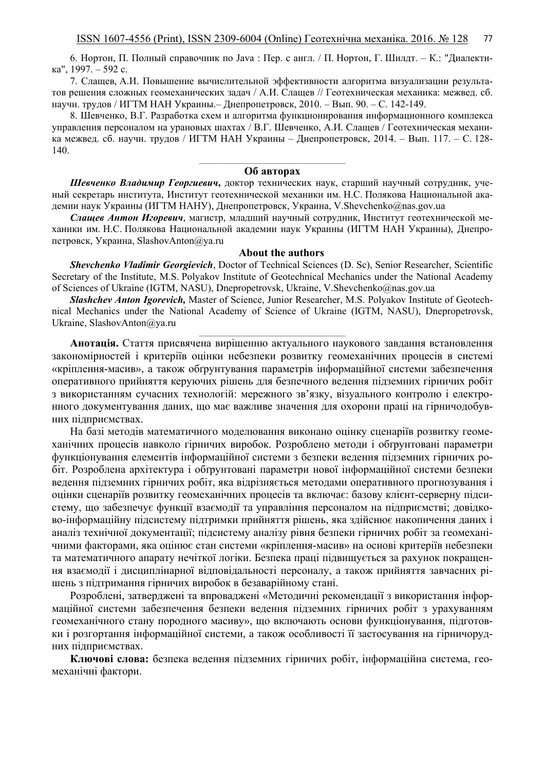6. Нортон, П. Полный справочник по Java : Пер. с англ. / П. Нортон, Г. Шилдт. – К.: "Диалектика", 1997. – 592 с.

7. Слащев, А.И. Повышение вычислительной эффективности алгоритма визуализации результатов решения сложных геомеханических задач / А.И. Слащев // Геотехническая механика: межвед. сб. научн. трудов / ИГТМ НАН Украины.– Днепропетровск, 2010. – Вып. 90. – С. 142-149.

8. Шевченко, В.Г. Разработка схем и алгоритма функционирования информационного комплекса управления персоналом на урановых шахтах / В.Г. Шевченко, А.И. Слащев / Геотехническая механика межвед. сб. научн. трудов / ИГТМ НАН Украины – Днепропетровск, 2014. – Вып. 117. – С. 128-  $140.$ 

#### **Об авторах**

*Шевченко Владимир Георгиевич***,** доктор технических наук, старший научный сотрудник, ученый секретарь института, Институт геотехнической механики им. Н.С. Полякова Национальной академии наук Украины (ИГТМ НАНУ), Днепропетровск, Украина, [V.Shevchenko@nas.gov.ua](mailto:V.Shevchenko@nas.gov.ua)

*Слащев Антон Игоревич*, магистр, младший научный сотрудник, Институт геотехнической механики им. Н.С. Полякова Национальной академии наук Украины (ИГТМ НАН Украины), Днепропетровск, Украина, [SlashovAnton@ya.ru](mailto:SlashovAnton@ya.ru) 

#### **About the authors**

*Shevchenko Vladimir Georgievich*, Doctor of Technical Sciences (D. Sc), Senior Researcher, Scientific Secretary of the Institute, M.S. Polyakov Institute of Geotechnical Mechanics under the National Academy of Sciences of Ukraine (IGTM, NASU), Dnepropetrovsk, Ukraine, V.Shevchenko@nas.gov.ua

*Slashchev Anton Igorevich,* Master of Science, Junior Researcher, M.S. Polyakov Institute of Geotechnical Mechanics under the National Academy of Science of Ukraine (IGTM, NASU), Dnepropetrovsk, Ukraine, [SlashovAnton@ya.ru](mailto:SlashovAnton@ya.ru)

**Анотація.** Стаття присвячена вирішенню актуального наукового завдання встановлення закономірностей і критеріїв оцінки небезпеки розвитку геомеханічних процесів в системі «кріплення-масив», а також обґрунтування параметрів інформаційної системи забезпечення оперативного прийняття керуючих рішень для безпечного ведення підземних гірничих робіт з використанням сучасних технологій: мережного зв'язку, візуального контролю і електронного документування даних, що має важливе значення для охорони праці на гірничодобувних підприємствах.

На базі методів математичного моделювання виконано оцінку сценаріїв розвитку геомеханічних процесів навколо гірничих виробок. Розроблено методи і обґрунтовані параметри функціонування елементів інформаційної системи з безпеки ведення підземних гірничих робіт. Розроблена архітектура і обґрунтовані параметри нової інформаційної системи безпеки ведення підземних гірничих робіт, яка відрізняється методами оперативного прогнозування і оцінки сценаріїв розвитку геомеханічних процесів та включає: базову клієнт-серверну підсистему, що забезпечує функції взаємодії та управління персоналом на підприємстві; довідково-інформаційну підсистему підтримки прийняття рішень, яка здійснює накопичення даних і аналіз технічної документації; підсистему аналізу рівня безпеки гірничих робіт за геомеханічними факторами, яка оцінює стан системи «кріплення-масив» на основі критеріїв небезпеки та математичного апарату нечіткої логіки. Безпека праці підвищується за рахунок покращення взаємодії і дисциплінарної відповідальності персоналу, а також прийняття завчасних рішень з підтримання гірничих виробок в безаварійному стані.

Розроблені, затверджені та впроваджені «Методичні рекомендації з використання інформаційної системи забезпечення безпеки ведення підземних гірничих робіт з урахуванням геомеханічного стану породного масиву», що включають основи функціонування, підготовки і розгортання інформаційної системи, а також особливості її застосування на гірничорудних підприємствах.

**Ключові слова:** безпека ведення підземних гірничих робіт, інформаційна система, геомеханічні фактори.